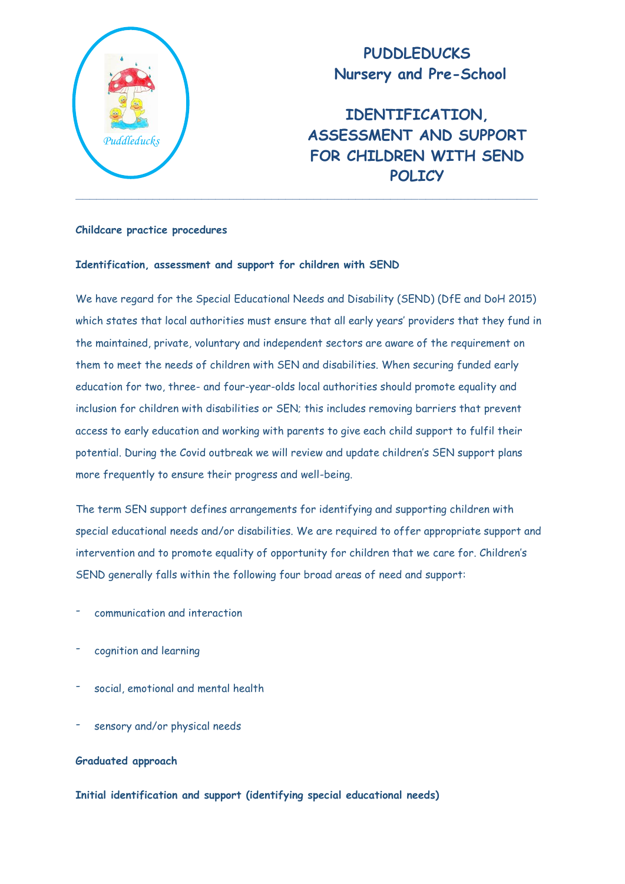

## **PUDDLEDUCKS Nursery and Pre-School**

**IDENTIFICATION, ASSESSMENT AND SUPPORT FOR CHILDREN WITH SEND POLICY**

### **Childcare practice procedures**

### **Identification, assessment and support for children with SEND**

We have regard for the Special Educational Needs and Disability (SEND) (DfE and DoH 2015) which states that local authorities must ensure that all early years' providers that they fund in the maintained, private, voluntary and independent sectors are aware of the requirement on them to meet the needs of children with SEN and disabilities. When securing funded early education for two, three- and four-year-olds local authorities should promote equality and inclusion for children with disabilities or SEN; this includes removing barriers that prevent access to early education and working with parents to give each child support to fulfil their potential. During the Covid outbreak we will review and update children's SEN support plans more frequently to ensure their progress and well-being.

The term SEN support defines arrangements for identifying and supporting children with special educational needs and/or disabilities. We are required to offer appropriate support and intervention and to promote equality of opportunity for children that we care for. Children's SEND generally falls within the following four broad areas of need and support:

- communication and interaction
- cognition and learning
- social, emotional and mental health
- sensory and/or physical needs

### **Graduated approach**

**Initial identification and support (identifying special educational needs)**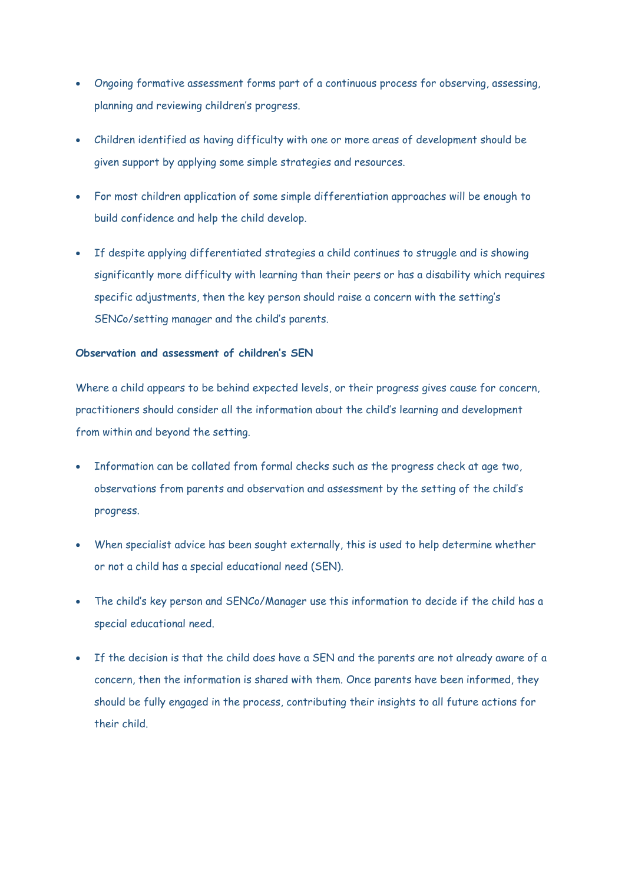- Ongoing formative assessment forms part of a continuous process for observing, assessing, planning and reviewing children's progress.
- Children identified as having difficulty with one or more areas of development should be given support by applying some simple strategies and resources.
- For most children application of some simple differentiation approaches will be enough to build confidence and help the child develop.
- If despite applying differentiated strategies a child continues to struggle and is showing significantly more difficulty with learning than their peers or has a disability which requires specific adjustments, then the key person should raise a concern with the setting's SENCo/setting manager and the child's parents.

### **Observation and assessment of children's SEN**

Where a child appears to be behind expected levels, or their progress gives cause for concern, practitioners should consider all the information about the child's learning and development from within and beyond the setting.

- Information can be collated from formal checks such as the progress check at age two, observations from parents and observation and assessment by the setting of the child's progress.
- When specialist advice has been sought externally, this is used to help determine whether or not a child has a special educational need (SEN).
- The child's key person and SENCo/Manager use this information to decide if the child has a special educational need.
- If the decision is that the child does have a SEN and the parents are not already aware of a concern, then the information is shared with them. Once parents have been informed, they should be fully engaged in the process, contributing their insights to all future actions for their child.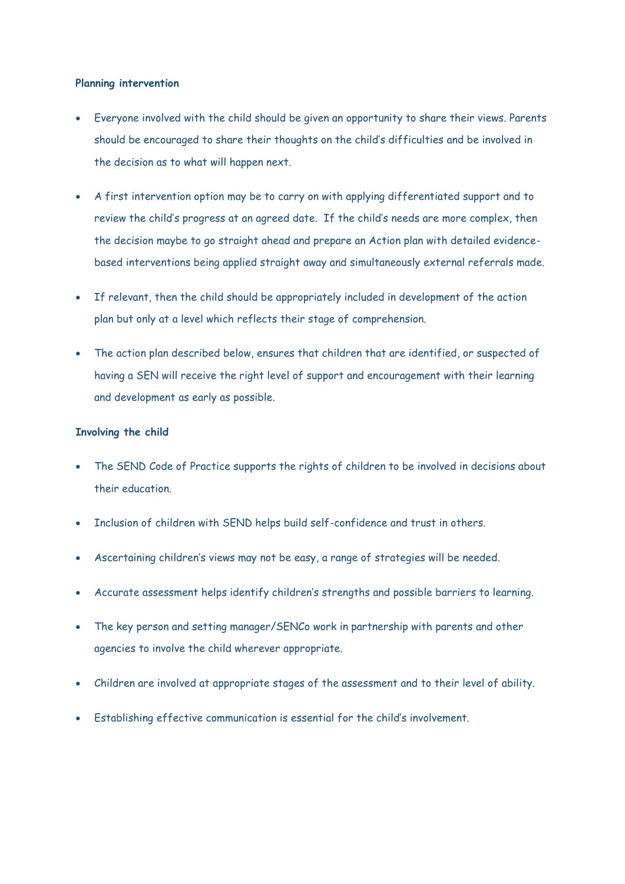### **Planning intervention**

- Everyone involved with the child should be given an opportunity to share their views. Parents should be encouraged to share their thoughts on the child's difficulties and be involved in the decision as to what will happen next.
- A first intervention option may be to carry on with applying differentiated support and to review the child's progress at an agreed date. If the child's needs are more complex, then the decision maybe to go straight ahead and prepare an Action plan with detailed evidencebased interventions being applied straight away and simultaneously external referrals made.
- If relevant, then the child should be appropriately included in development of the action plan but only at a level which reflects their stage of comprehension.
- The action plan described below, ensures that children that are identified, or suspected of having a SEN will receive the right level of support and encouragement with their learning and development as early as possible.

### **Involving the child**

- The SEND Code of Practice supports the rights of children to be involved in decisions about their education.
- Inclusion of children with SEND helps build self-confidence and trust in others.
- Ascertaining children's views may not be easy, a range of strategies will be needed.
- Accurate assessment helps identify children's strengths and possible barriers to learning.
- The key person and setting manager/SENCo work in partnership with parents and other agencies to involve the child wherever appropriate.
- Children are involved at appropriate stages of the assessment and to their level of ability.
- Establishing effective communication is essential for the child's involvement.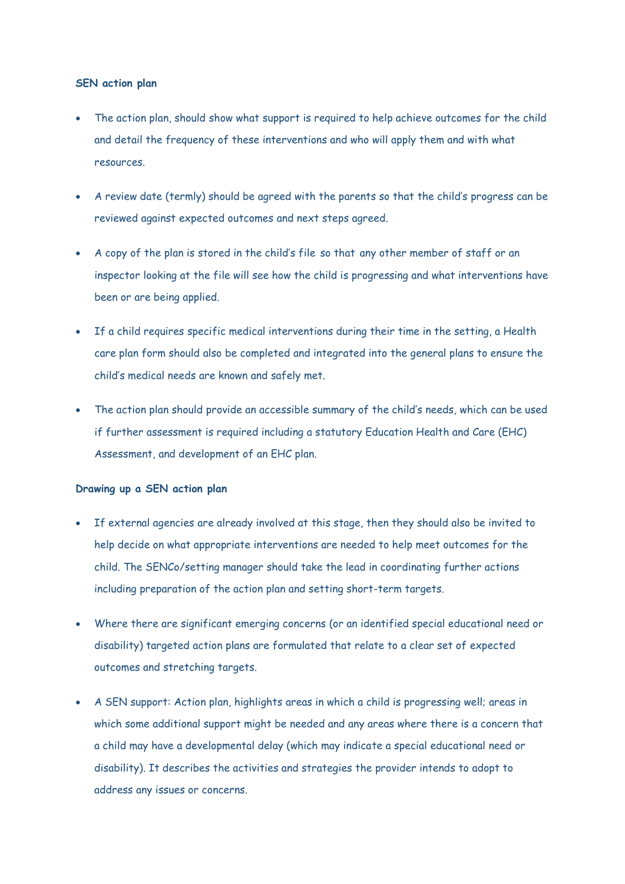### **SEN action plan**

- The action plan, should show what support is required to help achieve outcomes for the child and detail the frequency of these interventions and who will apply them and with what resources.
- A review date (termly) should be agreed with the parents so that the child's progress can be reviewed against expected outcomes and next steps agreed.
- A copy of the plan is stored in the child's file so that any other member of staff or an inspector looking at the file will see how the child is progressing and what interventions have been or are being applied.
- If a child requires specific medical interventions during their time in the setting, a Health care plan form should also be completed and integrated into the general plans to ensure the child's medical needs are known and safely met.
- The action plan should provide an accessible summary of the child's needs, which can be used if further assessment is required including a statutory Education Health and Care (EHC) Assessment, and development of an EHC plan.

### **Drawing up a SEN action plan**

- If external agencies are already involved at this stage, then they should also be invited to help decide on what appropriate interventions are needed to help meet outcomes for the child. The SENCo/setting manager should take the lead in coordinating further actions including preparation of the action plan and setting short-term targets.
- Where there are significant emerging concerns (or an identified special educational need or disability) targeted action plans are formulated that relate to a clear set of expected outcomes and stretching targets.
- A SEN support: Action plan, highlights areas in which a child is progressing well; areas in which some additional support might be needed and any areas where there is a concern that a child may have a developmental delay (which may indicate a special educational need or disability). It describes the activities and strategies the provider intends to adopt to address any issues or concerns.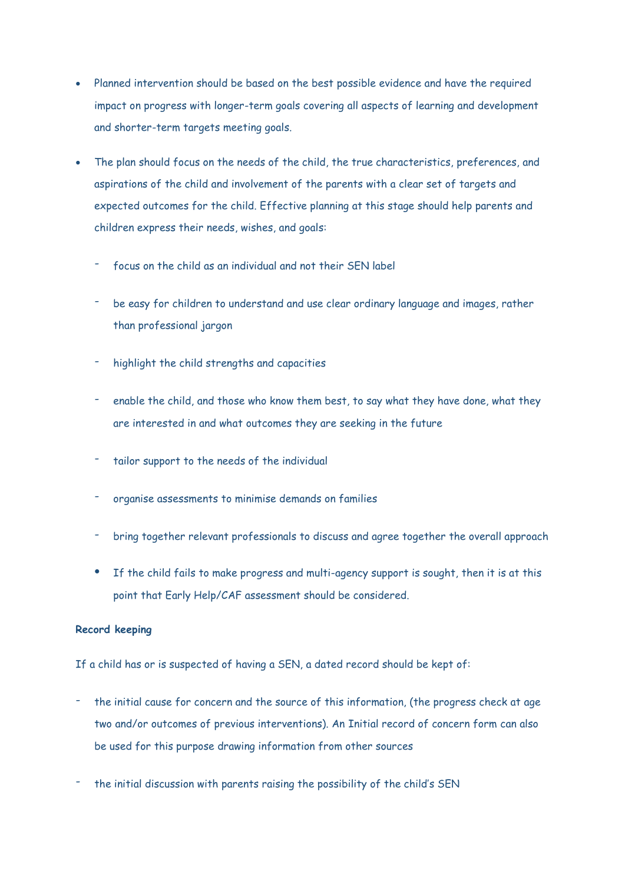- Planned intervention should be based on the best possible evidence and have the required impact on progress with longer-term goals covering all aspects of learning and development and shorter-term targets meeting goals.
- The plan should focus on the needs of the child, the true characteristics, preferences, and aspirations of the child and involvement of the parents with a clear set of targets and expected outcomes for the child. Effective planning at this stage should help parents and children express their needs, wishes, and goals:
	- focus on the child as an individual and not their SEN label
	- be easy for children to understand and use clear ordinary language and images, rather than professional jargon
	- highlight the child strengths and capacities
	- enable the child, and those who know them best, to say what they have done, what they are interested in and what outcomes they are seeking in the future
	- tailor support to the needs of the individual
	- organise assessments to minimise demands on families
	- bring together relevant professionals to discuss and agree together the overall approach
	- If the child fails to make progress and multi-agency support is sought, then it is at this point that Early Help/CAF assessment should be considered.

### **Record keeping**

If a child has or is suspected of having a SEN, a dated record should be kept of:

- the initial cause for concern and the source of this information, (the progress check at age two and/or outcomes of previous interventions). An Initial record of concern form can also be used for this purpose drawing information from other sources
- the initial discussion with parents raising the possibility of the child's SEN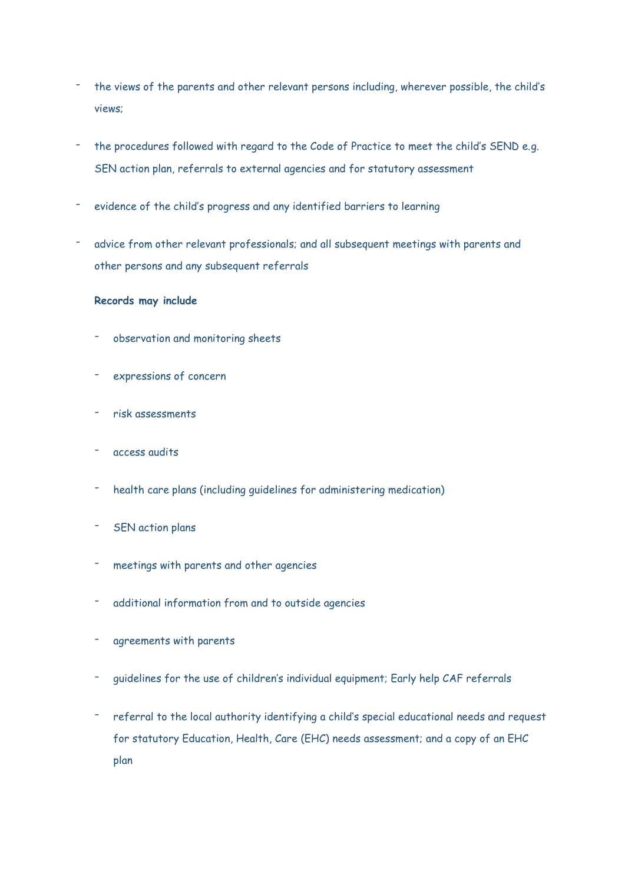- the views of the parents and other relevant persons including, wherever possible, the child's views;
- the procedures followed with regard to the Code of Practice to meet the child's SEND e.g. SEN action plan, referrals to external agencies and for statutory assessment
- evidence of the child's progress and any identified barriers to learning
- advice from other relevant professionals; and all subsequent meetings with parents and other persons and any subsequent referrals

### **Records may include**

- observation and monitoring sheets
- expressions of concern
- risk assessments
- access audits
- health care plans (including guidelines for administering medication)
- SEN action plans
- meetings with parents and other agencies
- additional information from and to outside agencies
- agreements with parents
- guidelines for the use of children's individual equipment; Early help CAF referrals
- referral to the local authority identifying a child's special educational needs and request for statutory Education, Health, Care (EHC) needs assessment; and a copy of an EHC plan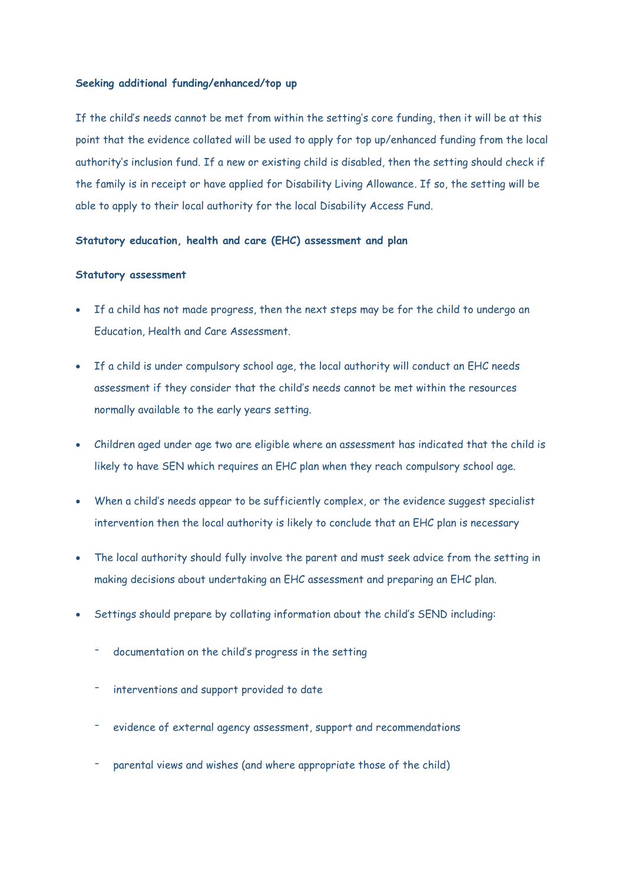### **Seeking additional funding/enhanced/top up**

If the child's needs cannot be met from within the setting's core funding, then it will be at this point that the evidence collated will be used to apply for top up/enhanced funding from the local authority's inclusion fund. If a new or existing child is disabled, then the setting should check if the family is in receipt or have applied for Disability Living Allowance. If so, the setting will be able to apply to their local authority for the local Disability Access Fund.

### **Statutory education, health and care (EHC) assessment and plan**

### **Statutory assessment**

- If a child has not made progress, then the next steps may be for the child to undergo an Education, Health and Care Assessment.
- If a child is under compulsory school age, the local authority will conduct an EHC needs assessment if they consider that the child's needs cannot be met within the resources normally available to the early years setting.
- Children aged under age two are eligible where an assessment has indicated that the child is likely to have SEN which requires an EHC plan when they reach compulsory school age.
- When a child's needs appear to be sufficiently complex, or the evidence suggest specialist intervention then the local authority is likely to conclude that an EHC plan is necessary
- The local authority should fully involve the parent and must seek advice from the setting in making decisions about undertaking an EHC assessment and preparing an EHC plan.
- Settings should prepare by collating information about the child's SEND including:
	- documentation on the child's progress in the setting
	- interventions and support provided to date
	- evidence of external agency assessment, support and recommendations
	- parental views and wishes (and where appropriate those of the child)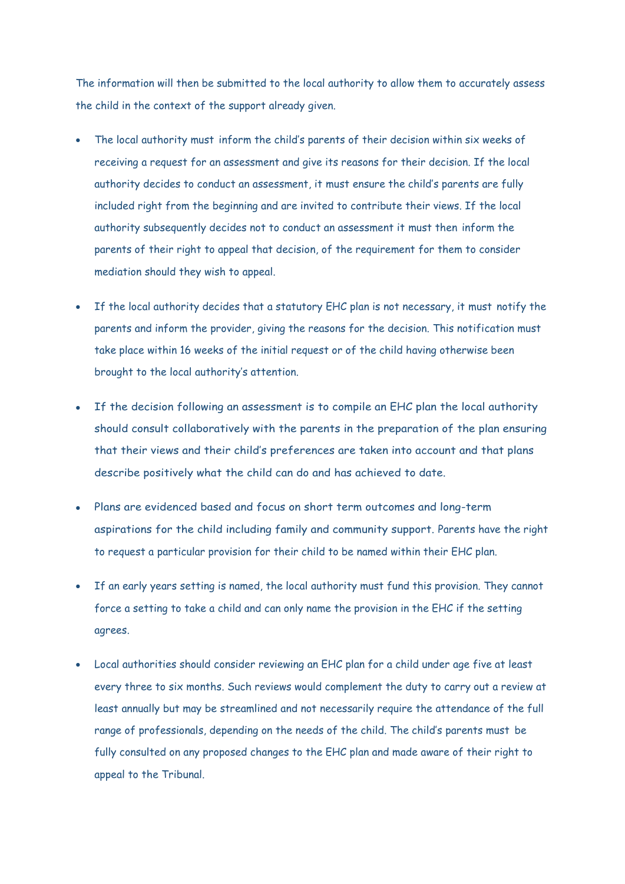The information will then be submitted to the local authority to allow them to accurately assess the child in the context of the support already given.

- The local authority must inform the child's parents of their decision within six weeks of receiving a request for an assessment and give its reasons for their decision. If the local authority decides to conduct an assessment, it must ensure the child's parents are fully included right from the beginning and are invited to contribute their views. If the local authority subsequently decides not to conduct an assessment it must then inform the parents of their right to appeal that decision, of the requirement for them to consider mediation should they wish to appeal.
- If the local authority decides that a statutory EHC plan is not necessary, it must notify the parents and inform the provider, giving the reasons for the decision. This notification must take place within 16 weeks of the initial request or of the child having otherwise been brought to the local authority's attention.
- If the decision following an assessment is to compile an EHC plan the local authority should consult collaboratively with the parents in the preparation of the plan ensuring that their views and their child's preferences are taken into account and that plans describe positively what the child can do and has achieved to date.
- Plans are evidenced based and focus on short term outcomes and long-term aspirations for the child including family and community support. Parents have the right to request a particular provision for their child to be named within their EHC plan.
- If an early years setting is named, the local authority must fund this provision. They cannot force a setting to take a child and can only name the provision in the EHC if the setting agrees.
- Local authorities should consider reviewing an EHC plan for a child under age five at least every three to six months. Such reviews would complement the duty to carry out a review at least annually but may be streamlined and not necessarily require the attendance of the full range of professionals, depending on the needs of the child. The child's parents must be fully consulted on any proposed changes to the EHC plan and made aware of their right to appeal to the Tribunal.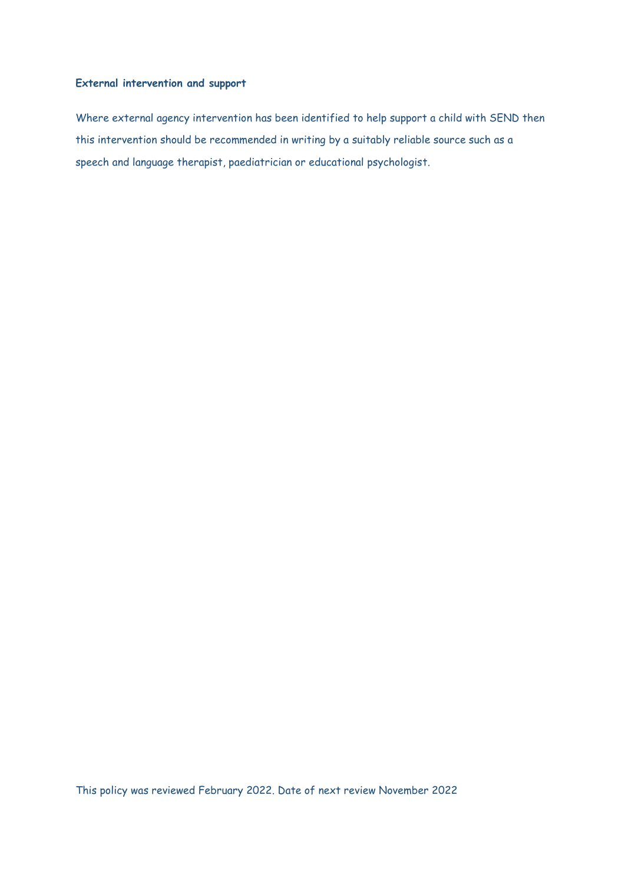### **External intervention and support**

Where external agency intervention has been identified to help support a child with SEND then this intervention should be recommended in writing by a suitably reliable source such as a speech and language therapist, paediatrician or educational psychologist.

This policy was reviewed February 2022. Date of next review November 2022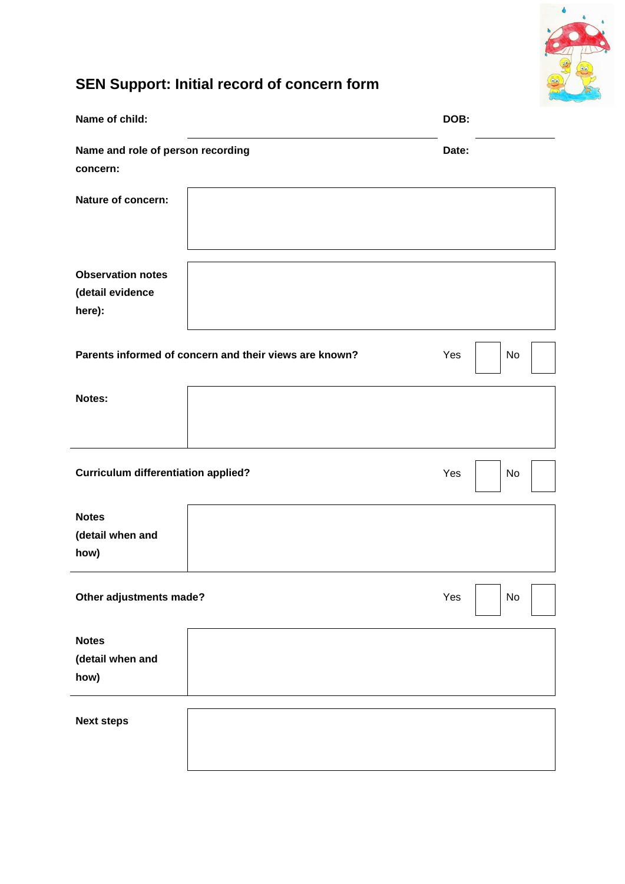

# **SEN Support: Initial record of concern form**

| Name of child:                                         |  | DOB:      |
|--------------------------------------------------------|--|-----------|
| Name and role of person recording<br>concern:          |  | Date:     |
| Nature of concern:                                     |  |           |
| <b>Observation notes</b><br>(detail evidence<br>here): |  |           |
| Parents informed of concern and their views are known? |  | Yes<br>No |
| Notes:                                                 |  |           |
| <b>Curriculum differentiation applied?</b>             |  | Yes<br>No |
| <b>Notes</b><br>(detail when and<br>how)               |  |           |
| Other adjustments made?                                |  | Yes<br>No |
| <b>Notes</b><br>(detail when and<br>how)               |  |           |
| <b>Next steps</b>                                      |  |           |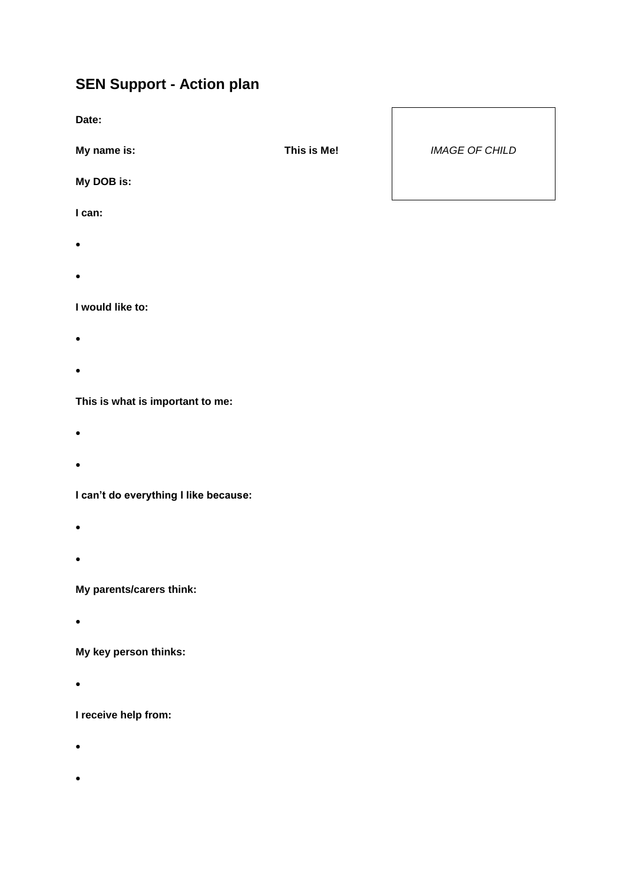# **SEN Support - Action plan**

**Date:**

**My name is:**

**My DOB is:**

**I can:**

- $\bullet$
- $\bullet$

**I would like to:**

- $\bullet$
- $\bullet$

**This is what is important to me:**

- $\bullet$
- $\bullet$

**I can't do everything I like because:**

- $\bullet$
- $\bullet$

**My parents/carers think:**

 $\bullet$ 

**My key person thinks:**

 $\bullet$ 

**I receive help from:**

- $\bullet$
- $\bullet$

**This is Me!** *IMAGE OF CHILD*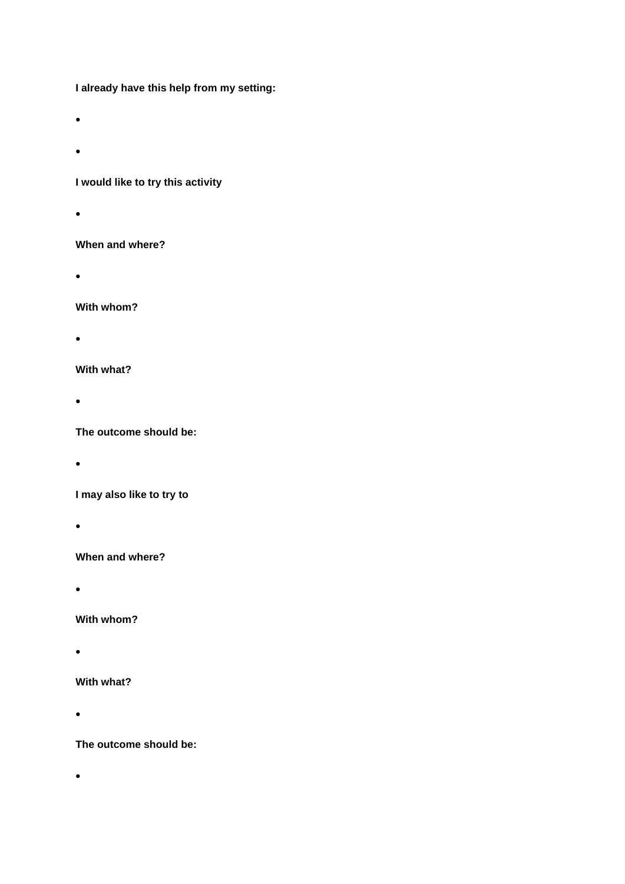**I already have this help from my setting:**

- $\bullet$
- $\bullet$

## **I would like to try this activity**

 $\bullet$ 

### **When and where?**

 $\bullet$ 

### **With whom?**

 $\bullet$ 

### **With what?**

 $\bullet$ 

## **The outcome should be:**

 $\bullet$ 

## **I may also like to try to**

 $\bullet$ 

### **When and where?**

 $\bullet$ 

### **With whom?**

 $\bullet$ 

### **With what?**

 $\bullet$ 

## **The outcome should be:**

 $\bullet$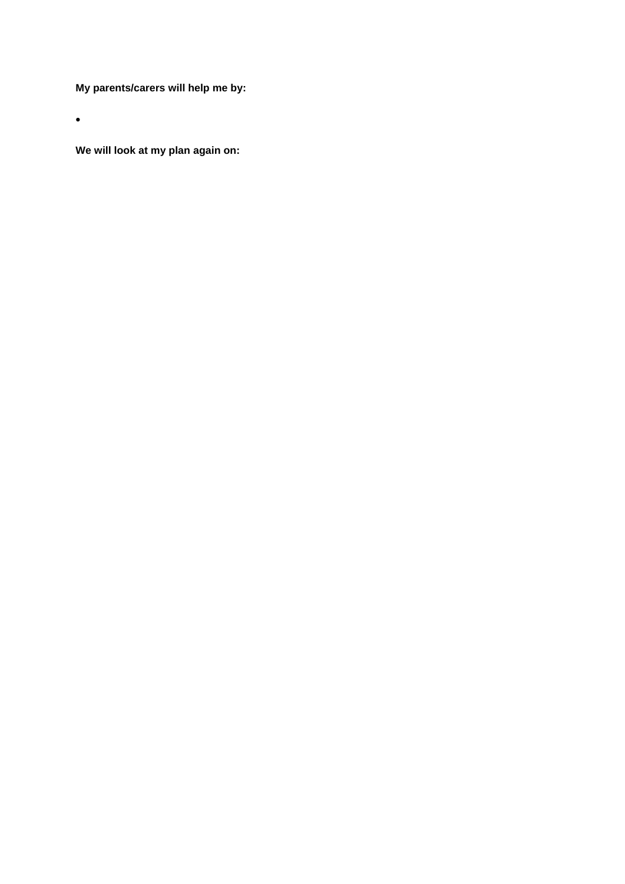**My parents/carers will help me by:**

 $\bullet$ 

**We will look at my plan again on:**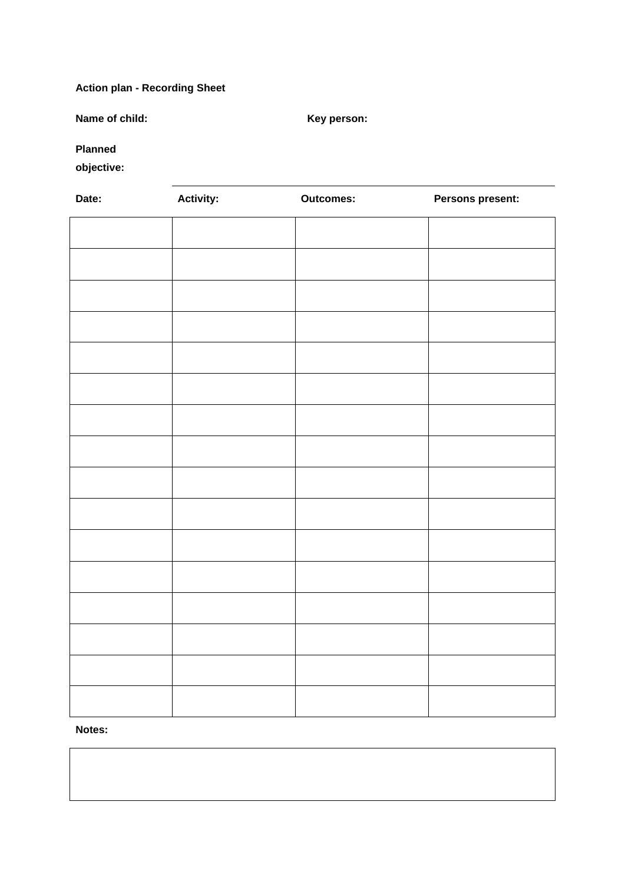## **Action plan - Recording Sheet**

**Name of child: Key person:** 

**Planned** 

**objective:**

| Date: | <b>Activity:</b> | <b>Outcomes:</b> | Persons present: |
|-------|------------------|------------------|------------------|
|       |                  |                  |                  |
|       |                  |                  |                  |
|       |                  |                  |                  |
|       |                  |                  |                  |
|       |                  |                  |                  |
|       |                  |                  |                  |
|       |                  |                  |                  |
|       |                  |                  |                  |
|       |                  |                  |                  |
|       |                  |                  |                  |
|       |                  |                  |                  |
|       |                  |                  |                  |
|       |                  |                  |                  |
|       |                  |                  |                  |
|       |                  |                  |                  |
|       |                  |                  |                  |

**Notes:**